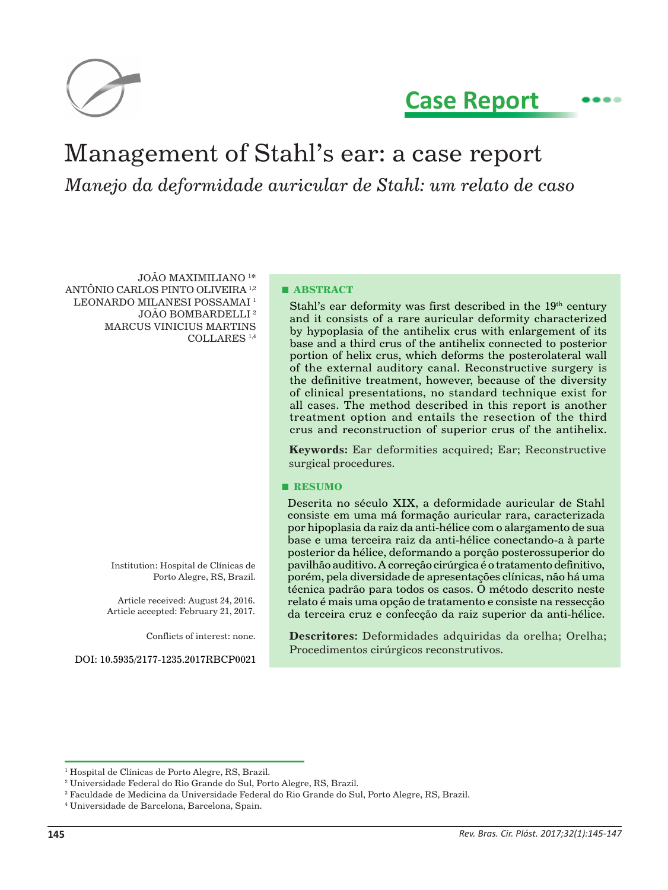

# **Case Report**

# Management of Stahl's ear: a case report *Manejo da deformidade auricular de Stahl: um relato de caso*

JOÃO MAXIMILIANO 1 \* ANTÔNIO CARLOS PINTO OLIVEIRA 1,2 LEONARDO MILANESI POSSAMAI<sup>1</sup> JOÃO BOMBARDELLI 2 MARCUS VINICIUS MARTINS COLLARES 1,4

> Institution: Hospital de Clínicas de Porto Alegre, RS, Brazil.

Article received: August 24, 2016. Article accepted: February 21, 2017.

Conflicts of interest: none.

DOI: 10.5935/2177-1235.2017RBCP0021

#### **■ ABSTRACT**

Stahl's ear deformity was first described in the  $19<sup>th</sup>$  century and it consists of a rare auricular deformity characterized by hypoplasia of the antihelix crus with enlargement of its base and a third crus of the antihelix connected to posterior portion of helix crus, which deforms the posterolateral wall of the external auditory canal. Reconstructive surgery is the definitive treatment, however, because of the diversity of clinical presentations, no standard technique exist for all cases. The method described in this report is another treatment option and entails the resection of the third crus and reconstruction of superior crus of the antihelix.

**Keywords:** Ear deformities acquired; Ear; Reconstructive surgical procedures.

#### **■ RESUMO**

Descrita no século XIX, a deformidade auricular de Stahl consiste em uma má formação auricular rara, caracterizada por hipoplasia da raiz da anti-hélice com o alargamento de sua base e uma terceira raiz da anti-hélice conectando-a à parte posterior da hélice, deformando a porção posterossuperior do pavilhão auditivo. A correção cirúrgica é o tratamento definitivo, porém, pela diversidade de apresentações clínicas, não há uma técnica padrão para todos os casos. O método descrito neste relato é mais uma opção de tratamento e consiste na ressecção da terceira cruz e confecção da raiz superior da anti-hélice.

**Descritores:** Deformidades adquiridas da orelha; Orelha; Procedimentos cirúrgicos reconstrutivos.

<sup>1</sup> Hospital de Clínicas de Porto Alegre, RS, Brazil.

<sup>2</sup> Universidade Federal do Rio Grande do Sul, Porto Alegre, RS, Brazil.

 $\rm{^3}$  Faculdade de Medicina da Universidade Federal do Rio Grande do Sul, Porto Alegre, RS, Brazil.

<sup>4</sup> Universidade de Barcelona, Barcelona, Spain.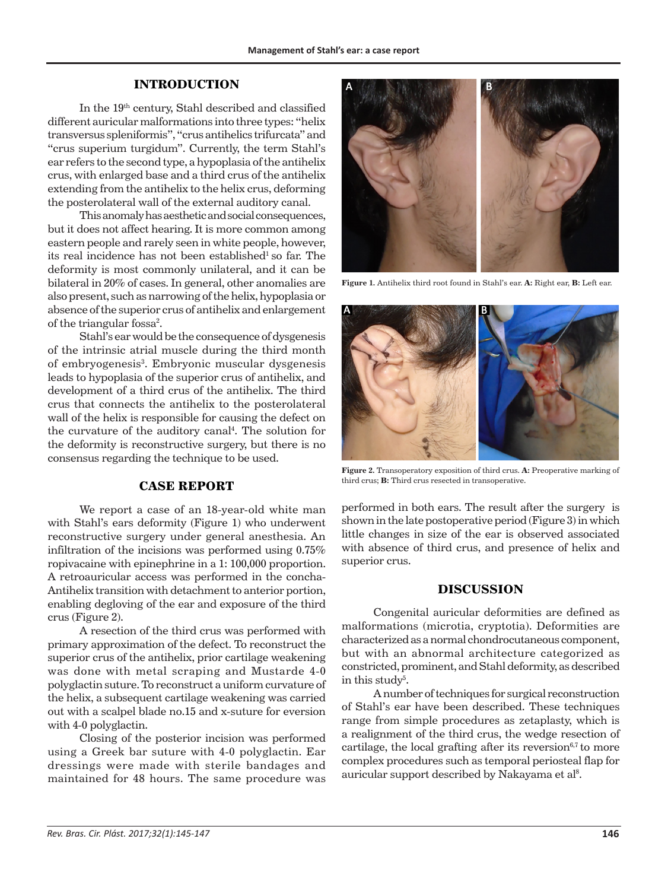#### **INTRODUCTION**

In the 19th century, Stahl described and classified different auricular malformations into three types: "helix transversus spleniformis", "crus antihelics trifurcata" and "crus superium turgidum". Currently, the term Stahl's ear refers to the second type, a hypoplasia of the antihelix crus, with enlarged base and a third crus of the antihelix extending from the antihelix to the helix crus, deforming the posterolateral wall of the external auditory canal.

This anomaly has aesthetic and social consequences, but it does not affect hearing. It is more common among eastern people and rarely seen in white people, however, its real incidence has not been established<sup>1</sup> so far. The deformity is most commonly unilateral, and it can be bilateral in 20% of cases. In general, other anomalies are also present, such as narrowing of the helix, hypoplasia or absence of the superior crus of antihelix and enlargement of the triangular fossa<sup>2</sup>.

Stahl's ear would be the consequence of dysgenesis of the intrinsic atrial muscle during the third month of embryogenesis<sup>3</sup>. Embryonic muscular dysgenesis leads to hypoplasia of the superior crus of antihelix, and development of a third crus of the antihelix. The third crus that connects the antihelix to the posterolateral wall of the helix is responsible for causing the defect on the curvature of the auditory canal<sup>4</sup>. The solution for the deformity is reconstructive surgery, but there is no consensus regarding the technique to be used.

# **CASE REPORT**

We report a case of an 18-year-old white man with Stahl's ears deformity (Figure 1) who underwent reconstructive surgery under general anesthesia. An infiltration of the incisions was performed using 0.75% ropivacaine with epinephrine in a 1: 100,000 proportion. A retroauricular access was performed in the concha-Antihelix transition with detachment to anterior portion, enabling degloving of the ear and exposure of the third crus (Figure 2).

A resection of the third crus was performed with primary approximation of the defect. To reconstruct the superior crus of the antihelix, prior cartilage weakening was done with metal scraping and Mustarde 4-0 polyglactin suture. To reconstruct a uniform curvature of the helix, a subsequent cartilage weakening was carried out with a scalpel blade no.15 and x-suture for eversion with 4-0 polyglactin.

Closing of the posterior incision was performed using a Greek bar suture with 4-0 polyglactin. Ear dressings were made with sterile bandages and maintained for 48 hours. The same procedure was



**Figure 1.** Antihelix third root found in Stahl's ear. **A:** Right ear, **B:** Left ear.



**Figure 2.** Transoperatory exposition of third crus. **A:** Preoperative marking of third crus; **B:** Third crus resected in transoperative.

performed in both ears. The result after the surgery is shown in the late postoperative period (Figure 3) in which little changes in size of the ear is observed associated with absence of third crus, and presence of helix and superior crus.

## **DISCUSSION**

Congenital auricular deformities are defined as malformations (microtia, cryptotia). Deformities are characterized as a normal chondrocutaneous component, but with an abnormal architecture categorized as constricted, prominent, and Stahl deformity, as described in this study<sup>5</sup>.

A number of techniques for surgical reconstruction of Stahl's ear have been described. These techniques range from simple procedures as zetaplasty, which is a realignment of the third crus, the wedge resection of cartilage, the local grafting after its reversion $6,7$  to more complex procedures such as temporal periosteal flap for auricular support described by Nakayama et al<sup>8</sup>.